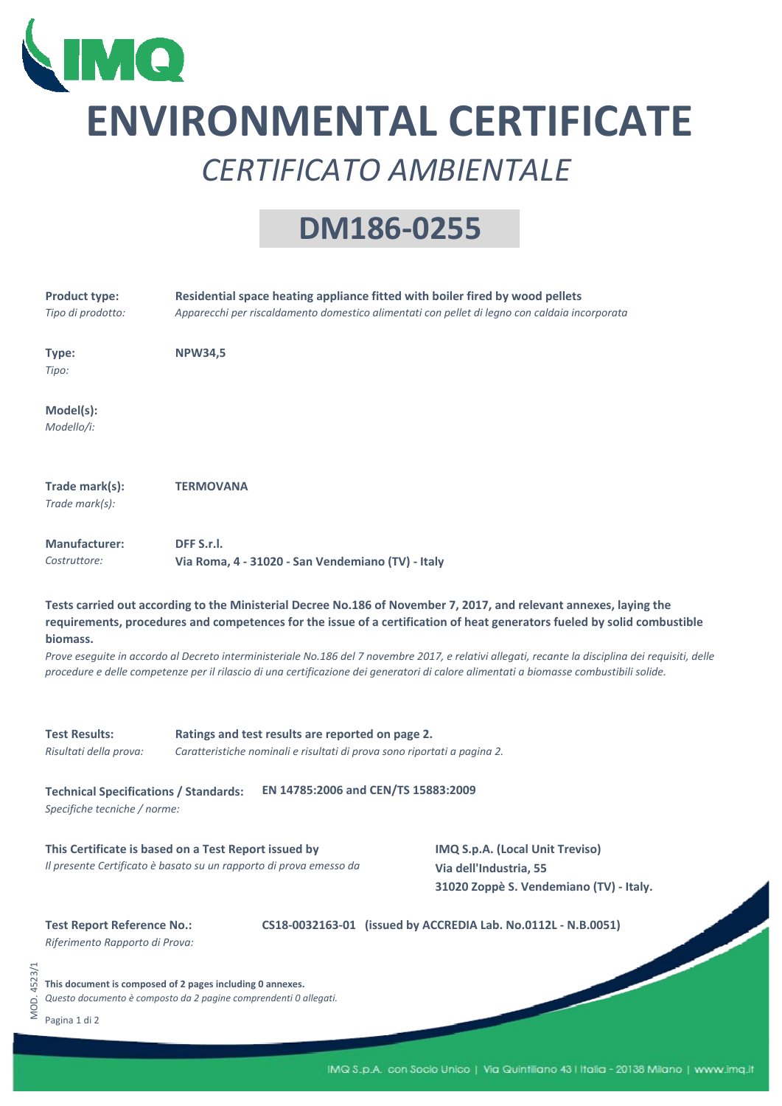

MOD. 4523/1

MOD. 4523/1

## **ENVIRONMENTAL CERTIFICATE** *CERTIFICATO AMBIENTALE*

## **DM186‐0255**

| <b>Product type:</b><br>Tipo di prodotto:                                                                                  | Residential space heating appliance fitted with boiler fired by wood pellets<br>Apparecchi per riscaldamento domestico alimentati con pellet di legno con caldaia incorporata                                                                                |                                                                                                                                                                                                                                                                                |  |  |
|----------------------------------------------------------------------------------------------------------------------------|--------------------------------------------------------------------------------------------------------------------------------------------------------------------------------------------------------------------------------------------------------------|--------------------------------------------------------------------------------------------------------------------------------------------------------------------------------------------------------------------------------------------------------------------------------|--|--|
| Type:<br>Tipo:                                                                                                             | <b>NPW34,5</b>                                                                                                                                                                                                                                               |                                                                                                                                                                                                                                                                                |  |  |
| Model(s):<br>Modello/i:                                                                                                    |                                                                                                                                                                                                                                                              |                                                                                                                                                                                                                                                                                |  |  |
| Trade mark(s):<br>Trade mark(s):                                                                                           | <b>TERMOVANA</b>                                                                                                                                                                                                                                             |                                                                                                                                                                                                                                                                                |  |  |
| <b>Manufacturer:</b><br>Costruttore:                                                                                       | DFF S.r.l.<br>Via Roma, 4 - 31020 - San Vendemiano (TV) - Italy                                                                                                                                                                                              |                                                                                                                                                                                                                                                                                |  |  |
| biomass.                                                                                                                   | Tests carried out according to the Ministerial Decree No.186 of November 7, 2017, and relevant annexes, laying the<br>procedure e delle competenze per il rilascio di una certificazione dei generatori di calore alimentati a biomasse combustibili solide. | requirements, procedures and competences for the issue of a certification of heat generators fueled by solid combustible<br>Prove eseguite in accordo al Decreto interministeriale No.186 del 7 novembre 2017, e relativi allegati, recante la disciplina dei requisiti, delle |  |  |
| <b>Test Results:</b><br>Risultati della prova:                                                                             | Ratings and test results are reported on page 2.<br>Caratteristiche nominali e risultati di prova sono riportati a pagina 2.                                                                                                                                 |                                                                                                                                                                                                                                                                                |  |  |
| <b>Technical Specifications / Standards:</b><br>Specifiche tecniche / norme:                                               | EN 14785:2006 and CEN/TS 15883:2009                                                                                                                                                                                                                          |                                                                                                                                                                                                                                                                                |  |  |
| This Certificate is based on a Test Report issued by<br>Il presente Certificato è basato su un rapporto di prova emesso da |                                                                                                                                                                                                                                                              | IMQ S.p.A. (Local Unit Treviso)<br>Via dell'Industria, 55<br>31020 Zoppè S. Vendemiano (TV) - Italy.                                                                                                                                                                           |  |  |
| <b>Test Report Reference No.:</b><br>Riferimento Rapporto di Prova:                                                        |                                                                                                                                                                                                                                                              | CS18-0032163-01 (issued by ACCREDIA Lab. No.0112L - N.B.0051)                                                                                                                                                                                                                  |  |  |
| Pagina 1 di 2                                                                                                              | This document is composed of 2 pages including 0 annexes.<br>Questo documento è composto da 2 pagine comprendenti 0 allegati.                                                                                                                                |                                                                                                                                                                                                                                                                                |  |  |
|                                                                                                                            |                                                                                                                                                                                                                                                              |                                                                                                                                                                                                                                                                                |  |  |